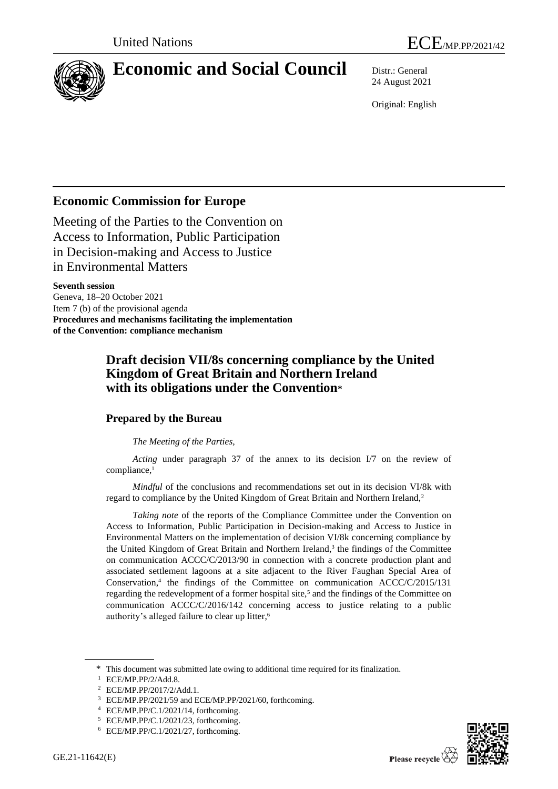

# **Economic and Social Council** Distr.: General

24 August 2021

Original: English

# **Economic Commission for Europe**

Meeting of the Parties to the Convention on Access to Information, Public Participation in Decision-making and Access to Justice in Environmental Matters

**Seventh session** Geneva, 18–20 October 2021 Item 7 (b) of the provisional agenda **Procedures and mechanisms facilitating the implementation of the Convention: compliance mechanism**

## **Draft decision VII/8s concerning compliance by the United Kingdom of Great Britain and Northern Ireland with its obligations under the Convention\***

### **Prepared by the Bureau**

### *The Meeting of the Parties,*

*Acting* under paragraph 37 of the annex to its decision I/7 on the review of compliance,<sup>1</sup>

*Mindful* of the conclusions and recommendations set out in its decision VI/8k with regard to compliance by the United Kingdom of Great Britain and Northern Ireland,<sup>2</sup>

*Taking note* of the reports of the Compliance Committee under the Convention on Access to Information, Public Participation in Decision-making and Access to Justice in Environmental Matters on the implementation of decision VI/8k concerning compliance by the United Kingdom of Great Britain and Northern Ireland,<sup>3</sup> the findings of the Committee on communication ACCC/C/2013/90 in connection with a concrete production plant and associated settlement lagoons at a site adjacent to the River Faughan Special Area of Conservation,<sup>4</sup> the findings of the Committee on communication ACCC/C/2015/131 regarding the redevelopment of a former hospital site, $5$  and the findings of the Committee on communication ACCC/C/2016/142 concerning access to justice relating to a public authority's alleged failure to clear up litter, 6

<sup>\*</sup> This document was submitted late owing to additional time required for its finalization.

<sup>1</sup> ECE/MP.PP/2/Add.8.

<sup>2</sup> ECE/MP.PP/2017/2/Add.1.

<sup>3</sup> ECE/MP.PP/2021/59 and ECE/MP.PP/2021/60, forthcoming.

<sup>4</sup> ECE/MP.PP/C.1/2021/14, forthcoming.

<sup>5</sup> ECE/MP.PP/C.1/2021/23, forthcoming.

<sup>6</sup> ECE/MP.PP/C.1/2021/27, forthcoming.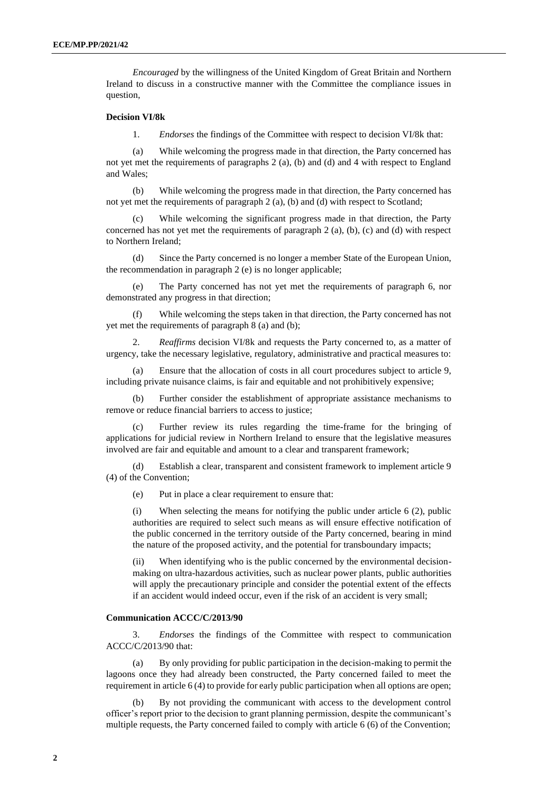*Encouraged* by the willingness of the United Kingdom of Great Britain and Northern Ireland to discuss in a constructive manner with the Committee the compliance issues in question,

#### **Decision VI/8k**

1. *Endorses* the findings of the Committee with respect to decision VI/8k that:

(a) While welcoming the progress made in that direction, the Party concerned has not yet met the requirements of paragraphs 2 (a), (b) and (d) and 4 with respect to England and Wales;

(b) While welcoming the progress made in that direction, the Party concerned has not yet met the requirements of paragraph 2 (a), (b) and (d) with respect to Scotland;

While welcoming the significant progress made in that direction, the Party concerned has not yet met the requirements of paragraph 2 (a), (b), (c) and (d) with respect to Northern Ireland;

(d) Since the Party concerned is no longer a member State of the European Union, the recommendation in paragraph 2 (e) is no longer applicable;

The Party concerned has not yet met the requirements of paragraph 6, nor demonstrated any progress in that direction;

(f) While welcoming the steps taken in that direction, the Party concerned has not yet met the requirements of paragraph 8 (a) and (b);

2. *Reaffirms* decision VI/8k and requests the Party concerned to, as a matter of urgency, take the necessary legislative, regulatory, administrative and practical measures to:

Ensure that the allocation of costs in all court procedures subject to article 9, including private nuisance claims, is fair and equitable and not prohibitively expensive;

(b) Further consider the establishment of appropriate assistance mechanisms to remove or reduce financial barriers to access to justice;

(c) Further review its rules regarding the time-frame for the bringing of applications for judicial review in Northern Ireland to ensure that the legislative measures involved are fair and equitable and amount to a clear and transparent framework;

(d) Establish a clear, transparent and consistent framework to implement article 9 (4) of the Convention;

(e) Put in place a clear requirement to ensure that:

(i) When selecting the means for notifying the public under article 6 (2), public authorities are required to select such means as will ensure effective notification of the public concerned in the territory outside of the Party concerned, bearing in mind the nature of the proposed activity, and the potential for transboundary impacts;

(ii) When identifying who is the public concerned by the environmental decisionmaking on ultra-hazardous activities, such as nuclear power plants, public authorities will apply the precautionary principle and consider the potential extent of the effects if an accident would indeed occur, even if the risk of an accident is very small;

#### **Communication ACCC/C/2013/90**

3. *Endorses* the findings of the Committee with respect to communication ACCC/C/2013/90 that:

(a) By only providing for public participation in the decision-making to permit the lagoons once they had already been constructed, the Party concerned failed to meet the requirement in article 6 (4) to provide for early public participation when all options are open;

By not providing the communicant with access to the development control officer's report prior to the decision to grant planning permission, despite the communicant's multiple requests, the Party concerned failed to comply with article 6 (6) of the Convention;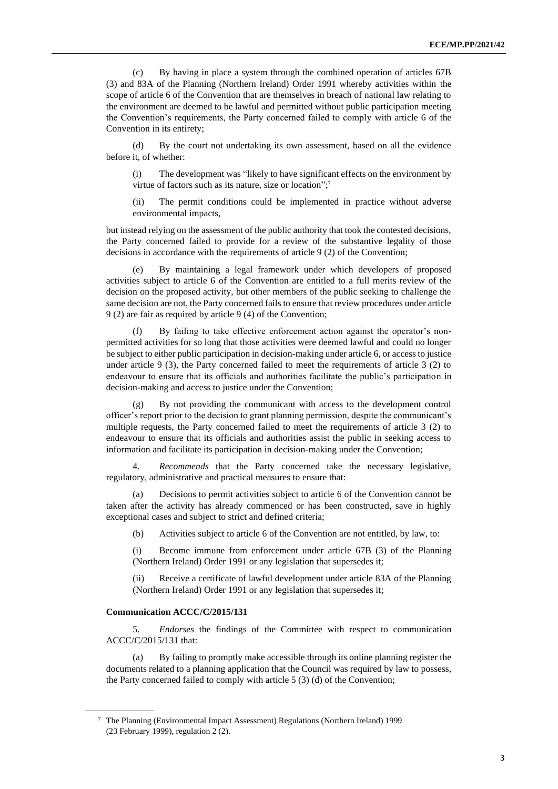(c) By having in place a system through the combined operation of articles 67B (3) and 83A of the Planning (Northern Ireland) Order 1991 whereby activities within the scope of article 6 of the Convention that are themselves in breach of national law relating to the environment are deemed to be lawful and permitted without public participation meeting the Convention's requirements, the Party concerned failed to comply with article 6 of the Convention in its entirety;

(d) By the court not undertaking its own assessment, based on all the evidence before it, of whether:

(i) The development was "likely to have significant effects on the environment by virtue of factors such as its nature, size or location";<sup>7</sup>

(ii) The permit conditions could be implemented in practice without adverse environmental impacts,

but instead relying on the assessment of the public authority that took the contested decisions, the Party concerned failed to provide for a review of the substantive legality of those decisions in accordance with the requirements of article 9 (2) of the Convention;

(e) By maintaining a legal framework under which developers of proposed activities subject to article 6 of the Convention are entitled to a full merits review of the decision on the proposed activity, but other members of the public seeking to challenge the same decision are not, the Party concerned fails to ensure that review procedures under article 9 (2) are fair as required by article 9 (4) of the Convention;

(f) By failing to take effective enforcement action against the operator's nonpermitted activities for so long that those activities were deemed lawful and could no longer be subject to either public participation in decision-making under article 6, or access to justice under article 9  $(3)$ , the Party concerned failed to meet the requirements of article 3  $(2)$  to endeavour to ensure that its officials and authorities facilitate the public's participation in decision-making and access to justice under the Convention;

(g) By not providing the communicant with access to the development control officer's report prior to the decision to grant planning permission, despite the communicant's multiple requests, the Party concerned failed to meet the requirements of article 3 (2) to endeavour to ensure that its officials and authorities assist the public in seeking access to information and facilitate its participation in decision-making under the Convention;

4. *Recommends* that the Party concerned take the necessary legislative, regulatory, administrative and practical measures to ensure that:

(a) Decisions to permit activities subject to article 6 of the Convention cannot be taken after the activity has already commenced or has been constructed, save in highly exceptional cases and subject to strict and defined criteria;

(b) Activities subject to article 6 of the Convention are not entitled, by law, to:

(i) Become immune from enforcement under article 67B (3) of the Planning (Northern Ireland) Order 1991 or any legislation that supersedes it;

(ii) Receive a certificate of lawful development under article 83A of the Planning (Northern Ireland) Order 1991 or any legislation that supersedes it;

#### **Communication ACCC/C/2015/131**

5. *Endorses* the findings of the Committee with respect to communication ACCC/C/2015/131 that:

(a) By failing to promptly make accessible through its online planning register the documents related to a planning application that the Council was required by law to possess, the Party concerned failed to comply with article 5 (3) (d) of the Convention;

<sup>7</sup> The Planning (Environmental Impact Assessment) Regulations (Northern Ireland) 1999 (23 February 1999), regulation 2 (2).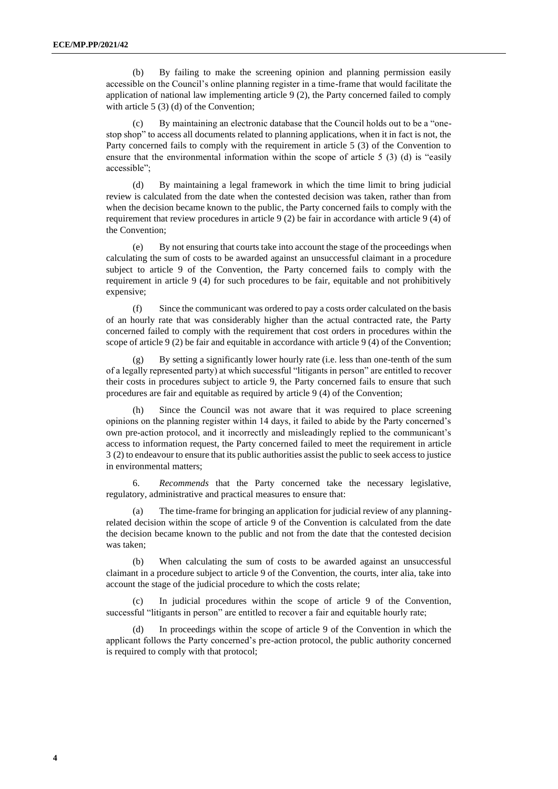(b) By failing to make the screening opinion and planning permission easily accessible on the Council's online planning register in a time-frame that would facilitate the application of national law implementing article 9 (2), the Party concerned failed to comply with article 5 (3) (d) of the Convention;

(c) By maintaining an electronic database that the Council holds out to be a "onestop shop" to access all documents related to planning applications, when it in fact is not, the Party concerned fails to comply with the requirement in article 5 (3) of the Convention to ensure that the environmental information within the scope of article 5 (3) (d) is "easily accessible";

(d) By maintaining a legal framework in which the time limit to bring judicial review is calculated from the date when the contested decision was taken, rather than from when the decision became known to the public, the Party concerned fails to comply with the requirement that review procedures in article 9 (2) be fair in accordance with article 9 (4) of the Convention;

(e) By not ensuring that courts take into account the stage of the proceedings when calculating the sum of costs to be awarded against an unsuccessful claimant in a procedure subject to article 9 of the Convention, the Party concerned fails to comply with the requirement in article 9 (4) for such procedures to be fair, equitable and not prohibitively expensive;

(f) Since the communicant was ordered to pay a costs order calculated on the basis of an hourly rate that was considerably higher than the actual contracted rate, the Party concerned failed to comply with the requirement that cost orders in procedures within the scope of article 9 (2) be fair and equitable in accordance with article 9 (4) of the Convention;

By setting a significantly lower hourly rate (i.e. less than one-tenth of the sum of a legally represented party) at which successful "litigants in person" are entitled to recover their costs in procedures subject to article 9, the Party concerned fails to ensure that such procedures are fair and equitable as required by article 9 (4) of the Convention;

(h) Since the Council was not aware that it was required to place screening opinions on the planning register within 14 days, it failed to abide by the Party concerned's own pre-action protocol, and it incorrectly and misleadingly replied to the communicant's access to information request, the Party concerned failed to meet the requirement in article 3 (2) to endeavour to ensure that its public authorities assist the public to seek access to justice in environmental matters;

6. *Recommends* that the Party concerned take the necessary legislative, regulatory, administrative and practical measures to ensure that:

(a) The time-frame for bringing an application for judicial review of any planningrelated decision within the scope of article 9 of the Convention is calculated from the date the decision became known to the public and not from the date that the contested decision was taken;

(b) When calculating the sum of costs to be awarded against an unsuccessful claimant in a procedure subject to article 9 of the Convention, the courts, inter alia, take into account the stage of the judicial procedure to which the costs relate;

(c) In judicial procedures within the scope of article 9 of the Convention, successful "litigants in person" are entitled to recover a fair and equitable hourly rate;

(d) In proceedings within the scope of article 9 of the Convention in which the applicant follows the Party concerned's pre-action protocol, the public authority concerned is required to comply with that protocol;